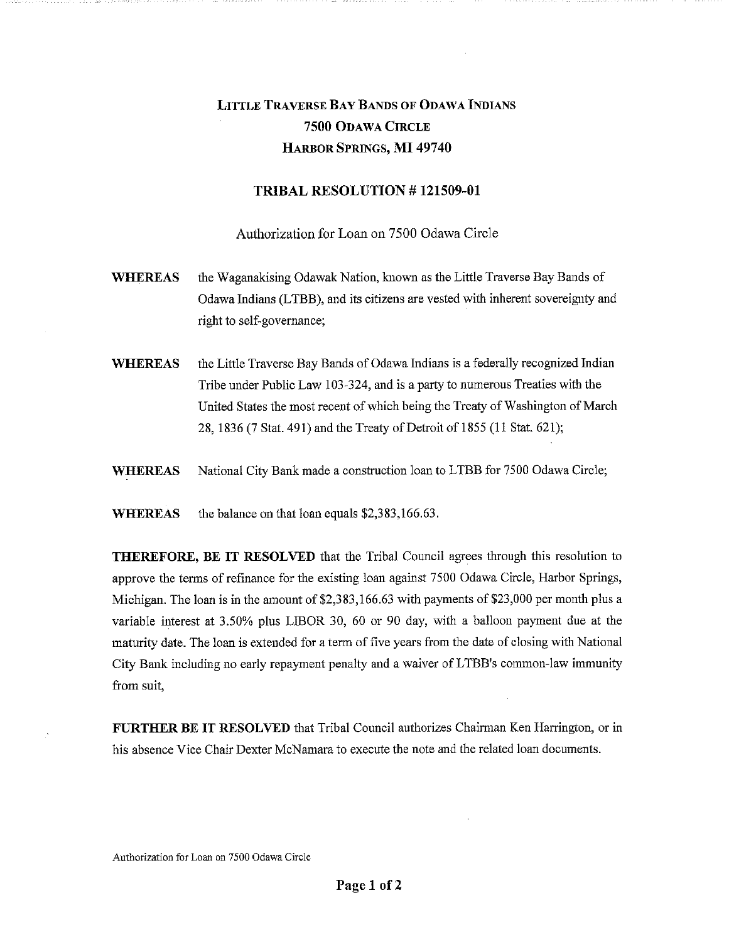## LITTLE TRAVERSE BAY BANDS OF ODAWA INDIANS **7500** ODAWA CIRCLE HARBOR SPRINGS, MI **49740**

## **TRIBAL RESOLUTION # 121509-01**

Authorization for Loan on 7500 Odawa Circle

- **WHEREAS**  the Waganakising Odawak Nation, known as the Little Traverse Bay Bands of Odawa Indians (LTBB), and its citizens are vested with inherent sovereignty and right to self-governance;
- **WHEREAS**  the Little Traverse Bay Bands of Odawa Indians is a federally recognized Indian Tribe under Public Law 103-324, and is a party to numerous Treaties with the United States the most recent of which being the Treaty of Washington of March 28, 1836 (7 Stat. 491) and the Treaty of Detroit of 1855 (11 Stat. 621);
- **WHEREAS**  National City Bank made a construction loan to LTBB for 7500 Odawa Circle;

**WHEREAS**  the balance on that loan equals \$2,383,166.63.

**THEREFORE, BE IT RESOLVED** that the Tribal Council agrees through this resolution to approve the terms of refinance for the existing loan against 7500 Odawa Circle, Harbor Springs, Michigan. The loan is in the amount of \$2,383,166.63 with payments of \$23,000 per month plus a variable interest at 3.50% plus LIBOR 30, 60 or 90 day, with a balloon payment due at the maturity date. The loan is extended for a term of five years from the date of closing with National City Bank including no early repayment penalty and a waiver of LTBB's common-law immunity from suit,

**FURTHER BE IT RESOLVED** that Tribal Council authorizes Chairman Ken Harrington, or in his absence Vice Chair Dexter McNamara to execute the note and the related loan documents.

Authorization for Loan on 7500 Odawa Circle